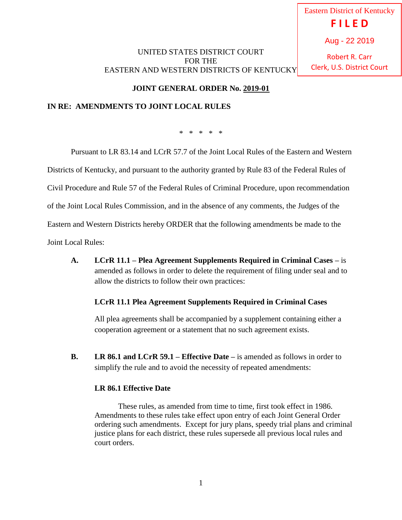# UNITED STATES DISTRICT COURT FOR THE EASTERN AND WESTERN DISTRICTS OF KENTUCKY

Eastern District of Kentucky **F I L E D** Aug - 22 2019

Robert R. Carr Clerk, U.S. District Court

**JOINT GENERAL ORDER No. 2019-01**

## **IN RE: AMENDMENTS TO JOINT LOCAL RULES**

\* \* \* \* \*

Pursuant to LR 83.14 and LCrR 57.7 of the Joint Local Rules of the Eastern and Western

Districts of Kentucky, and pursuant to the authority granted by Rule 83 of the Federal Rules of

Civil Procedure and Rule 57 of the Federal Rules of Criminal Procedure, upon recommendation

of the Joint Local Rules Commission, and in the absence of any comments, the Judges of the

Eastern and Western Districts hereby ORDER that the following amendments be made to the

Joint Local Rules:

**A. LCrR 11.1 – Plea Agreement Supplements Required in Criminal Cases –** is amended as follows in order to delete the requirement of filing under seal and to allow the districts to follow their own practices:

#### **LCrR 11.1 Plea Agreement Supplements Required in Criminal Cases**

All plea agreements shall be accompanied by a supplement containing either a cooperation agreement or a statement that no such agreement exists.

**B. LR 86.1 and LCrR 59.1 – Effective Date –** is amended as follows in order to simplify the rule and to avoid the necessity of repeated amendments:

#### **LR 86.1 Effective Date**

These rules, as amended from time to time, first took effect in 1986. Amendments to these rules take effect upon entry of each Joint General Order ordering such amendments. Except for jury plans, speedy trial plans and criminal justice plans for each district, these rules supersede all previous local rules and court orders.